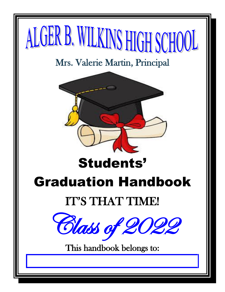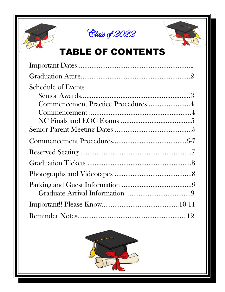





# TABLE OF CONTENTS

| <b>Schedule of Events</b>          |  |
|------------------------------------|--|
|                                    |  |
| Commencement Practice Procedures 4 |  |
|                                    |  |
|                                    |  |
|                                    |  |
|                                    |  |
|                                    |  |
|                                    |  |
|                                    |  |
|                                    |  |
|                                    |  |
|                                    |  |
|                                    |  |

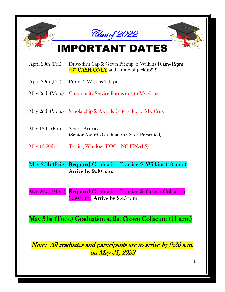|                                                                                                  | Class of 2022                                                                                  |  |  |  |
|--------------------------------------------------------------------------------------------------|------------------------------------------------------------------------------------------------|--|--|--|
|                                                                                                  | <b>IMPORTANT DATES</b>                                                                         |  |  |  |
| April 29th (Fri.)                                                                                | Drive-thru Cap & Gown Pickup @ Wilkins 10am-12pm<br>\$60 CASH ONLY at the time of pickup!!!!!! |  |  |  |
| April 29th (Fri.)                                                                                | Prom @ Wilkins 7-11pm                                                                          |  |  |  |
|                                                                                                  | May 2nd, (Mon.) Community Service Forms due to Ms. Cruz                                        |  |  |  |
|                                                                                                  | May 2nd, (Mon.) Scholarship & Awards Letters due to Ms. Cruz                                   |  |  |  |
| May 13th, $(Fri.)$                                                                               | Senior Activity<br>(Senior Awards/Graduation Cords Presented)                                  |  |  |  |
| May $16-20$ th                                                                                   | <b>Testing Window (EOCs, NC FINALS)</b>                                                        |  |  |  |
| $\text{May }20\text{th (Fri.)}$                                                                  | <b>Required Graduation Practice @ Wilkins (10 a.m.)</b>                                        |  |  |  |
|                                                                                                  | <u>Arrive by 9:30 a.m.</u>                                                                     |  |  |  |
| May 23rd, (Mon.)                                                                                 | <b>Required Graduation Practice @ Crown Coliseum</b>                                           |  |  |  |
|                                                                                                  | $3:30$ p.m. Arrive by 2:45 p.m.                                                                |  |  |  |
|                                                                                                  | May 31st (Tues.) Graduation at the Crown Coliseum (11 a.m.)                                    |  |  |  |
|                                                                                                  |                                                                                                |  |  |  |
|                                                                                                  |                                                                                                |  |  |  |
| <i>Note: All graduates and participants are to arrive by 9:30 a.m.</i><br><u>on May 31, 2022</u> |                                                                                                |  |  |  |
|                                                                                                  | 1                                                                                              |  |  |  |
|                                                                                                  |                                                                                                |  |  |  |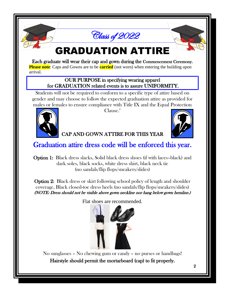

## GRADUATION ATTIRE

Each graduate will wear their cap and gown during the Commencement Ceremony. **Please note**: Caps and Gowns are to be **carried** (not worn) when entering the building upon

arrival.

#### OUR PURPOSE in specifying wearing apparel for GRADUATION related events is to assure UNIFORMITY.

Students will not be required to conform to a specific type of attire based on gender and may choose to follow the expected graduation attire as provided for males or females to ensure compliance with Title IX and the Equal Protection



Clause."

#### CAP AND GOWN ATTIRE FOR THIS YEAR

#### Graduation attire dress code will be enforced this year.

Option 1: Black dress slacks, Solid black dress shoes (if with laces–black) and dark soles, black socks, white dress shirt, black neck tie (no sandals/flip flops/sneakers/slides)

Option 2: Black dress or skirt following school policy of length and shoulder coverage, Black closed-toe dress heels (no sandals/flip flops/sneakers/slides) (NOTE: Dress should not be visible above gown neckline nor hang below gown hemline.)

Flat shoes are recommended.

No sunglasses – No chewing gum or candy – no purses or handbags! Hairstyle should permit the mortarboard (cap) to fit properly.

l

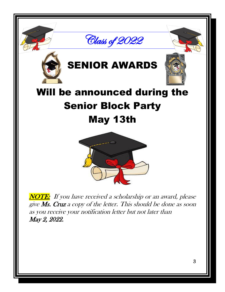





# SENIOR AWARDS



# Will be announced during the Senior Block Party May 13th



**NOTE:** If you have received a scholarship or an award, please give Ms. Cruz a copy of the letter. This should be done as soon as you receive your notification letter but not later than May 2, 2022.

i i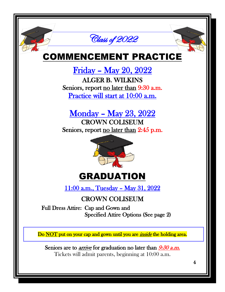

### COMMENCEMENT PRACTICE

Friday – May 20, 2022 ALGER B. WILKINS Seniors, report <u>no later than</u> 9:30 a.m. Practice will start at 10:00 a.m.

Monday – May 23, 2022

CROWN COLISEUM Seniors, report no later than 2:45 p.m.



## GRADUATION

11:00 a.m., Tuesday – May 31, 2022

#### CROWN COLISEUM

 Full Dress Attire: Cap and Gown and Specified Attire Options (See page 2)

Do NOT put on your cap and gown until you are *inside* the holding area.

Seniors are to *arrive* for graduation no later than  $9:30$  *a.m.* Tickets will admit parents, beginning at 10:00 a.m.

l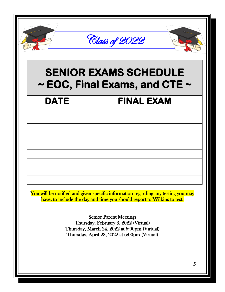|                                                                         | Class of 2022     |  |  |  |
|-------------------------------------------------------------------------|-------------------|--|--|--|
| <b>SENIOR EXAMS SCHEDULE</b><br>$\sim$ EOC, Final Exams, and CTE $\sim$ |                   |  |  |  |
| <b>DATE</b>                                                             | <b>FINAL EXAM</b> |  |  |  |
|                                                                         |                   |  |  |  |
|                                                                         |                   |  |  |  |
|                                                                         |                   |  |  |  |
|                                                                         |                   |  |  |  |
|                                                                         |                   |  |  |  |
|                                                                         |                   |  |  |  |

You will be notified and given specific information regarding any testing you may have; to include the day and time you should report to Wilkins to test.

> Senior Parent Meetings Thursday, February 3, 2022 (Virtual) Thursday, March 24, 2022 at 6:00pm (Virtual) Thursday, April 28, 2022 at 6:00pm (Virtual)

l i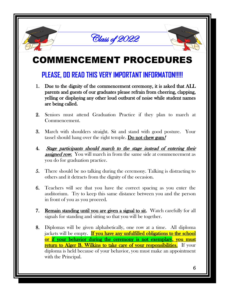



## COMMENCEMENT PROCEDURES

#### **PLEASE, DO READ THIS VERY IMPORTANT INFORMATON!!!!!**

- 1. Due to the dignity of the commencement ceremony, it is asked that ALL parents and guests of our graduates please refrain from cheering, clapping, yelling or displaying any other loud outburst of noise while student names are being called.
- 2. Seniors must attend Graduation Practice if they plan to march at Commencement.
- 3. March with shoulders straight. Sit and stand with good posture. Your tassel should hang over the right temple. Do not chew gum!
- 4. Stage participants should march to the stage instead of entering their **assigned row.** You will march in from the same side at commencement as you do for graduation practice.
- 5. There should be no talking during the ceremony. Talking is distracting to others and it detracts from the dignity of the occasion.
- 6. Teachers will see that you have the correct spacing as you enter the auditorium. Try to keep this same distance between you and the person in front of you as you proceed.
- 7. Remain standing until you are given a signal to sit. Watch carefully for all signals for standing and sitting so that you will be together.
- 8. Diplomas will be given alphabetically, one row at a time. All diploma jackets will be empty. If you have any unfulfilled obligations to the school or if your behavior during the ceremony is not exemplary, you must return to Alger B. Wilkins to take care of your responsibilities. If your diploma is held because of your behavior, you must make an appointment with the Principal.

l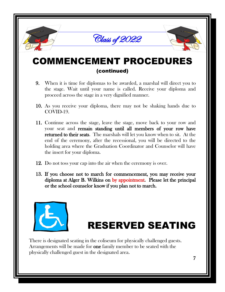

### COMMENCEMENT PROCEDURES (continued)

- 9. When it is time for diplomas to be awarded, a marshal will direct you to the stage. Wait until your name is called. Receive your diploma and proceed across the stage in a very dignified manner.
- 10. As you receive your diploma, there may not be shaking hands due to COVID-19.
- 11. Continue across the stage, leave the stage, move back to your row and your seat and remain standing until all members of your row have returned to their seats. The marshals will let you know when to sit. At the end of the ceremony, after the recessional, you will be directed to the holding area where the Graduation Coordinator and Counselor will have the insert for your diploma.
- 12. Do not toss your cap into the air when the ceremony is over.
- 13. If you choose not to march for commencement, you may receive your diploma at Alger B. Wilkins on by appointment. Please let the principal or the school counselor know if you plan not to march.



# RESERVED SEATING

There is designated seating in the coliseum for physically challenged guests. Arrangements will be made for **one** family member to be seated with the physically challenged guest in the designated area.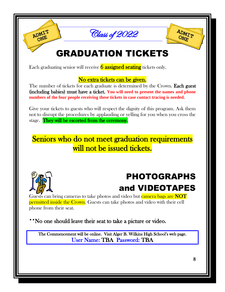

## GRADUATION TICKETS

Each graduating senior will receive  $\frac{6}{6}$  assigned seating tickets only.

#### No extra tickets can be given.

The number of tickets for each graduate is determined by the Crown. Each guest (including babies) must have a ticket. **You will need to present the names and phone numbers of the four people receiving these tickets in case contact tracing is needed.**

Give your tickets to guests who will respect the dignity of this program. Ask them not to disrupt the procedures by applauding or yelling for you when you cross the stage. They will be escorted from the ceremony.

Seniors who do not meet graduation requirements will not be issued tickets.



ADMIT ONE

## PHOTOGRAPHS and VIDEOTAPES

Guests can bring cameras to take photos and video but camera bags are NOT **permitted inside the Crown.** Guests can take photos and video with their cell phone from their seat.

\*\*No one should leave their seat to take a picture or video.

The Commencement will be online. Visit Alger B. Wilkins High School's web page. User Name: TBA Password: TBA

ADMIT

ONE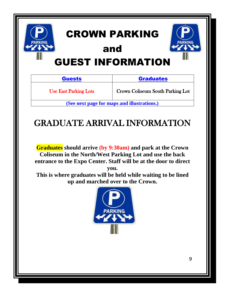

Use East Parking Lots

Crown Coliseum South Parking Lot

**(See next page for maps and illustrations.)**

### GRADUATE ARRIVAL INFORMATION

**Graduates should arrive (by 9:30am) and park at the Crown Coliseum in the North/West Parking Lot and use the back entrance to the Expo Center. Staff will be at the door to direct you.**

**This is where graduates will be held while waiting to be lined up and marched over to the Crown.**



9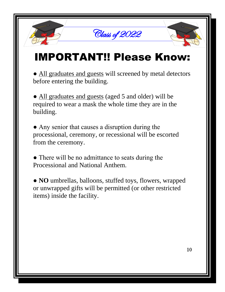# IMPORTANT!! Please Know:

Class of 2022

• All graduates and guests will screened by metal detectors before entering the building.

• All graduates and guests (aged 5 and older) will be required to wear a mask the whole time they are in the building.

• Any senior that causes a disruption during the processional, ceremony, or recessional will be escorted from the ceremony.

• There will be no admittance to seats during the Processional and National Anthem.

● **NO** umbrellas, balloons, stuffed toys, flowers, wrapped or unwrapped gifts will be permitted (or other restricted items) inside the facility.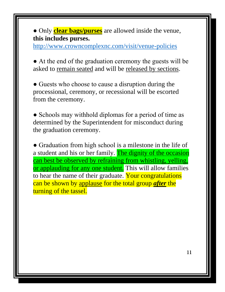● Only **clear bags/purses** are allowed inside the venue, **this includes purses.**

<http://www.crowncomplexnc.com/visit/venue-policies>

● At the end of the graduation ceremony the guests will be asked to remain seated and will be released by sections.

• Guests who choose to cause a disruption during the processional, ceremony, or recessional will be escorted from the ceremony.

• Schools may withhold diplomas for a period of time as determined by the Superintendent for misconduct during the graduation ceremony.

• Graduation from high school is a milestone in the life of a student and his or her family. The dignity of the occasion can best be observed by refraining from whistling, yelling, or applauding for any one student. This will allow families to hear the name of their graduate. Your congratulations can be shown by applause for the total group *after* the turning of the tassel.